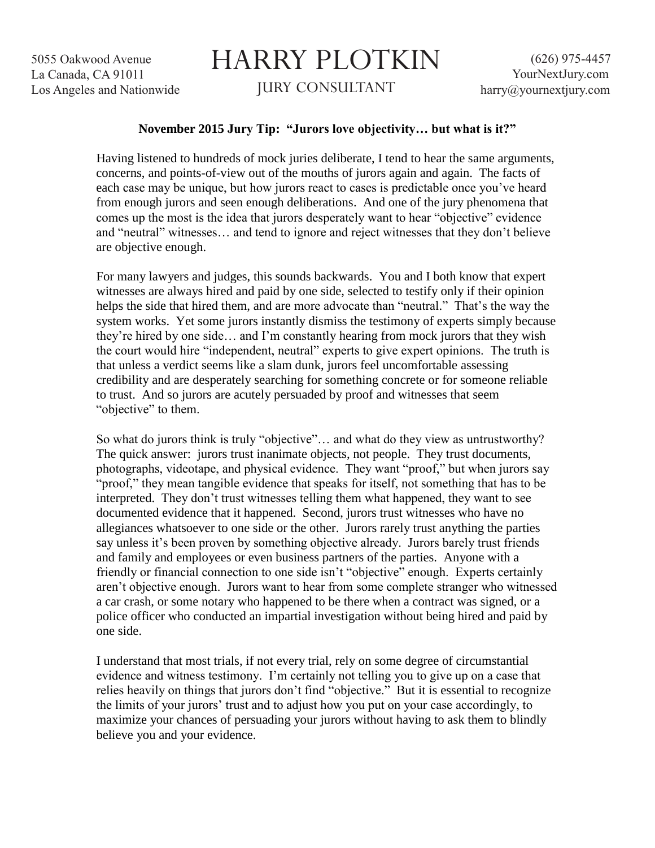5055 Oakwood Avenue La Canada, CA 91011 Los Angeles and Nationwide

## HARRY PLOTKIN JURY CONSULTANT

## **November 2015 Jury Tip: "Jurors love objectivity… but what is it?"**

Having listened to hundreds of mock juries deliberate, I tend to hear the same arguments, concerns, and points-of-view out of the mouths of jurors again and again. The facts of each case may be unique, but how jurors react to cases is predictable once you've heard from enough jurors and seen enough deliberations. And one of the jury phenomena that comes up the most is the idea that jurors desperately want to hear "objective" evidence and "neutral" witnesses… and tend to ignore and reject witnesses that they don't believe are objective enough.

For many lawyers and judges, this sounds backwards. You and I both know that expert witnesses are always hired and paid by one side, selected to testify only if their opinion helps the side that hired them, and are more advocate than "neutral." That's the way the system works. Yet some jurors instantly dismiss the testimony of experts simply because they're hired by one side… and I'm constantly hearing from mock jurors that they wish the court would hire "independent, neutral" experts to give expert opinions. The truth is that unless a verdict seems like a slam dunk, jurors feel uncomfortable assessing credibility and are desperately searching for something concrete or for someone reliable to trust. And so jurors are acutely persuaded by proof and witnesses that seem "objective" to them.

So what do jurors think is truly "objective"… and what do they view as untrustworthy? The quick answer: jurors trust inanimate objects, not people. They trust documents, photographs, videotape, and physical evidence. They want "proof," but when jurors say "proof," they mean tangible evidence that speaks for itself, not something that has to be interpreted. They don't trust witnesses telling them what happened, they want to see documented evidence that it happened. Second, jurors trust witnesses who have no allegiances whatsoever to one side or the other. Jurors rarely trust anything the parties say unless it's been proven by something objective already. Jurors barely trust friends and family and employees or even business partners of the parties. Anyone with a friendly or financial connection to one side isn't "objective" enough. Experts certainly aren't objective enough. Jurors want to hear from some complete stranger who witnessed a car crash, or some notary who happened to be there when a contract was signed, or a police officer who conducted an impartial investigation without being hired and paid by one side.

I understand that most trials, if not every trial, rely on some degree of circumstantial evidence and witness testimony. I'm certainly not telling you to give up on a case that relies heavily on things that jurors don't find "objective." But it is essential to recognize the limits of your jurors' trust and to adjust how you put on your case accordingly, to maximize your chances of persuading your jurors without having to ask them to blindly believe you and your evidence.